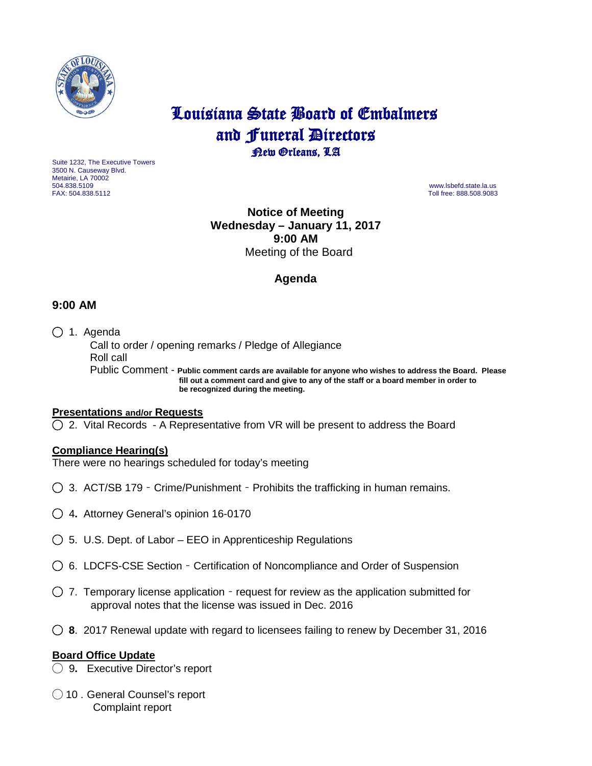

# Louisiana State Board of Embalmers and **Funeral Directors**<br>**Rew Orleans**, LA

Suite 1232, The Executive Towers 3500 N. Causeway Blvd. Metairie, LA 70002 504.838.5109 www.lsbefd.state.la.us

Toll free: 888.508.9083

## **Notice of Meeting Wednesday – January 11, 2017 9:00 AM**  Meeting of the Board

# **Agenda**

## **9:00 AM**

◯ 1. Agenda

 Call to order / opening remarks / Pledge of Allegiance Roll call Public Comment - **Public comment cards are available for anyone who wishes to address the Board. Please fill out a comment card and give to any of the staff or a board member in order to be recognized during the meeting.**

#### **Presentations and/or Requests**

◯2. Vital Records - A Representative from VR will be present to address the Board

#### **Compliance Hearing(s)**

There were no hearings scheduled for today's meeting

- ◯3. ACT/SB 179 Crime/Punishment Prohibits the trafficking in human remains.
- ◯ 4**.** Attorney General's opinion 16-0170
- ◯5.U.S. Dept. of Labor EEO in Apprenticeship Regulations
- ◯6. LDCFS-CSE Section Certification of Noncompliance and Order of Suspension
- ◯7. Temporary license application request for review as the application submitted for approval notes that the license was issued in Dec. 2016
- ◯ **8**. 2017 Renewal update with regard to licensees failing to renew by December 31, 2016

#### **Board Office Update**

- ◯ 9**.** Executive Director's report
- ◯ 10 . General Counsel's report Complaint report